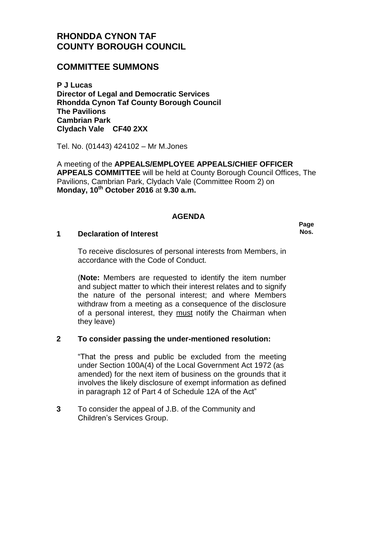# **RHONDDA CYNON TAF COUNTY BOROUGH COUNCIL**

## **COMMITTEE SUMMONS**

**P J Lucas Director of Legal and Democratic Services Rhondda Cynon Taf County Borough Council The Pavilions Cambrian Park Clydach Vale CF40 2XX**

Tel. No. (01443) 424102 – Mr M.Jones

A meeting of the **APPEALS/EMPLOYEE APPEALS/CHIEF OFFICER APPEALS COMMITTEE** will be held at County Borough Council Offices, The Pavilions, Cambrian Park, Clydach Vale (Committee Room 2) on **Monday, 10th October 2016** at **9.30 a.m.**

### **AGENDA**

#### **1 Declaration of Interest**

**Page Nos.**

To receive disclosures of personal interests from Members, in accordance with the Code of Conduct.

(**Note:** Members are requested to identify the item number and subject matter to which their interest relates and to signify the nature of the personal interest; and where Members withdraw from a meeting as a consequence of the disclosure of a personal interest, they must notify the Chairman when they leave)

### **2 To consider passing the under-mentioned resolution:**

"That the press and public be excluded from the meeting under Section 100A(4) of the Local Government Act 1972 (as amended) for the next item of business on the grounds that it involves the likely disclosure of exempt information as defined in paragraph 12 of Part 4 of Schedule 12A of the Act"

**3** To consider the appeal of J.B. of the Community and Children's Services Group.